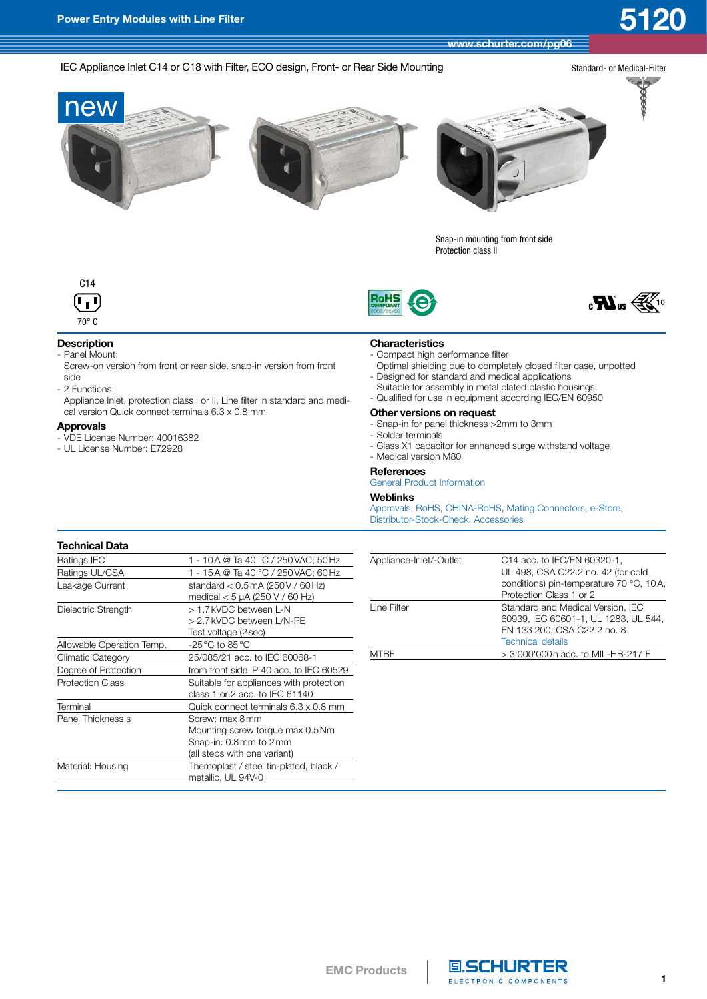**[www.schurter.com/pg06](http://www.schurter.ch/wwwsc/con_pg06.asp?language_id=10)**

## IEC Appliance Inlet C14 or C18 with Filter, ECO design, Front- or Rear Side Mounting



 $e^{\frac{1}{2}}$ 100000



Snap-in mounting from front side Protection class II







# **Description**

- Panel Mount:
- Screw-on version from front or rear side, snap-in version from front side
- 2 Functions:

 Appliance Inlet, protection class I or II, Line filter in standard and medical version Quick connect terminals 6.3 x 0.8 mm

### **Approvals**

- VDE License Number: 40016382
- UL License Number: E72928

### **Characteristics**

- Compact high performance filter
- Optimal shielding due to completely closed filter case, unpotted - Designed for standard and medical applications
- Suitable for assembly in metal plated plastic housings
- Qualified for use in equipment according IEC/EN 60950

## **Other versions on request**

- Snap-in for panel thickness >2mm to 3mm
- Solder terminals
- Class X1 capacitor for enhanced surge withstand voltage
- Medical version M80

### **References**

General Product [Information](http://www.schurter.ch/pdf/english/EMV_general_product_information.pdf)

### **Weblinks**

[Approvals](http://www.schurter.ch/support/iframe_approvals.asp?language_id=10&Query=Field+producttype=5120), [RoHS,](http://www.schurter.ch//company/rohs.asp) [CHINA-RoHS,](http://www.schurter.ch//company/china_rohs.asp) Mating [Connectors,](http://www.schurter.ch//wwwmc/wwwmc.asp?language_id=10) [e-Store,](http://www.schurterinc.com/estore/merchant.ihtml?cid=373&step=2) [Distributor-Stock-Check,](http://www.schurter.ch//catalog/iframe_querydist.asp) [Accessories](http://www.schurter.ch//wwwsc/con_z01.asp?language_id=10)

### **Technical Data**

| Ratings IEC               | 1 - 10 A @ Ta 40 °C / 250 VAC; 50 Hz                                                                           |
|---------------------------|----------------------------------------------------------------------------------------------------------------|
| Ratings UL/CSA            | 1 - 15 A @ Ta 40 °C / 250 VAC; 60 Hz                                                                           |
| Leakage Current           | standard $< 0.5$ mA (250 V / 60 Hz)<br>medical < 5 µA (250 V / 60 Hz)                                          |
| Dielectric Strength       | > 1.7 kVDC between L-N<br>> 2.7 kVDC between L/N-PE<br>Test voltage (2 sec)                                    |
| Allowable Operation Temp. | $-25\,^{\circ}\text{C}$ to 85 $^{\circ}\text{C}$                                                               |
| Climatic Category         | 25/085/21 acc. to IEC 60068-1                                                                                  |
| Degree of Protection      | from front side IP 40 acc. to IEC 60529                                                                        |
| <b>Protection Class</b>   | Suitable for appliances with protection<br>class 1 or 2 acc. to IEC 61140                                      |
| Terminal                  | Quick connect terminals 6.3 x 0.8 mm                                                                           |
| Panel Thickness s         | Screw: max 8 mm<br>Mounting screw torque max 0.5 Nm<br>Snap-in: 0.8 mm to 2 mm<br>(all steps with one variant) |
| Material: Housing         | Themoplast / steel tin-plated, black /<br>metallic, UL 94V-0                                                   |

| Appliance-Inlet/-Outlet | C14 acc. to IEC/EN 60320-1,             |
|-------------------------|-----------------------------------------|
|                         | UL 498, CSA C22.2 no. 42 (for cold      |
|                         | conditions) pin-temperature 70 °C, 10A, |
|                         | Protection Class 1 or 2                 |
| Line Filter             | Standard and Medical Version. IEC       |
|                         | 60939, IEC 60601-1, UL 1283, UL 544,    |
|                         | EN 133 200, CSA C22.2 no. 8             |
|                         | <b>Technical details</b>                |
|                         | $>$ 3'000'000h acc. to MIL-HB-217 F     |
|                         |                                         |



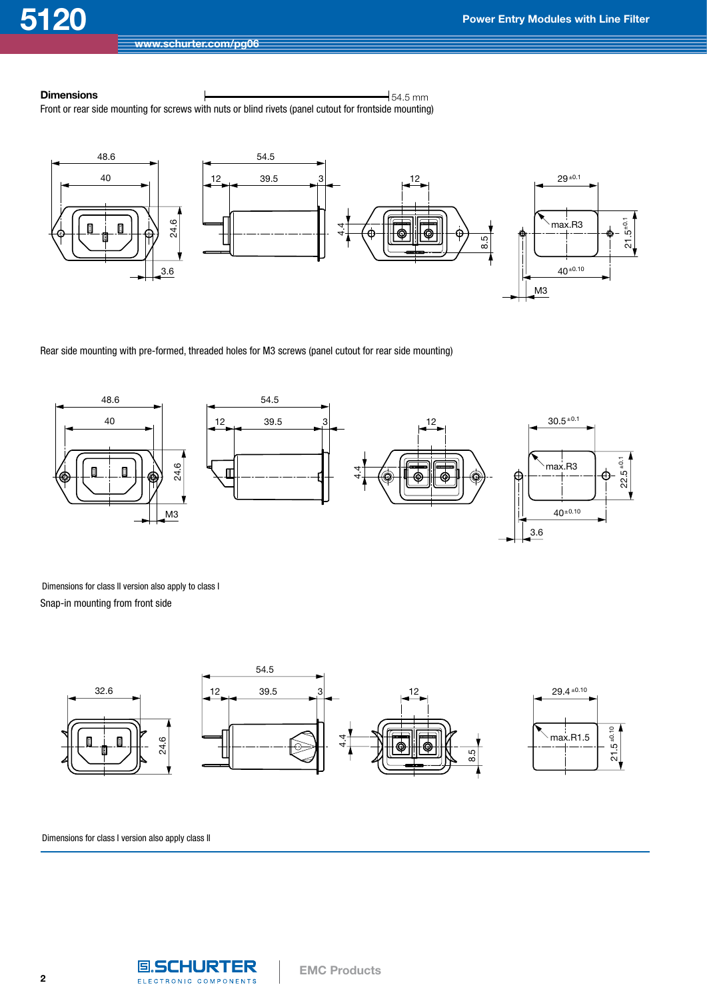## **Dimensions**  $\qquad \qquad \qquad$

Front or rear side mounting for screws with nuts or blind rivets (panel cutout for frontside mounting)



Rear side mounting with pre-formed, threaded holes for M3 screws (panel cutout for rear side mounting)



Dimensions for class II version also apply to class I Snap-in mounting from front side



Dimensions for class I version also apply class II

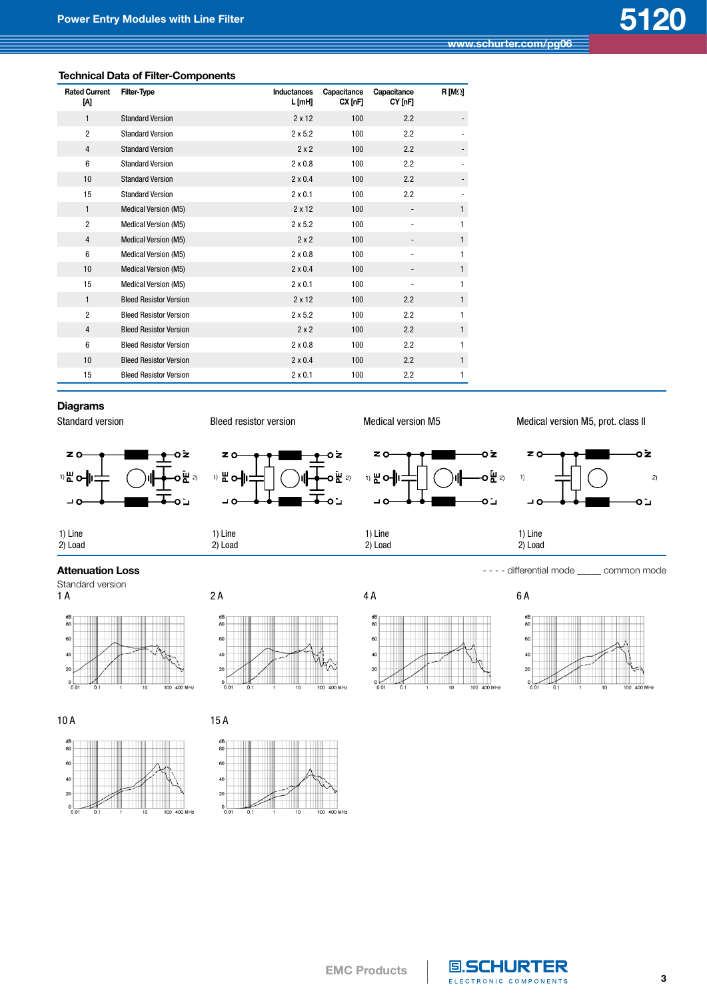## **Technical Data of Filter-Components**

| <b>Rated Current</b><br>M | <b>Filter-Type</b>            | Inductances<br>L [mH] | Capacitance<br>CX[ <sub>nF</sub> ] | Capacitance<br>CY [nF]       | $R$ [M $\Omega$ ] |
|---------------------------|-------------------------------|-----------------------|------------------------------------|------------------------------|-------------------|
| $\mathbf{1}$              | <b>Standard Version</b>       | $2 \times 12$         | 100                                | 2.2                          |                   |
| $\overline{2}$            | <b>Standard Version</b>       | $2 \times 5.2$        | 100                                | 2.2                          |                   |
| $\overline{4}$            | <b>Standard Version</b>       | 2x2                   | 100                                | 2.2                          |                   |
| 6                         | <b>Standard Version</b>       | $2 \times 0.8$        | 100                                | 2.2                          |                   |
| 10                        | <b>Standard Version</b>       | $2 \times 0.4$        | 100                                | 2.2                          |                   |
| 15                        | <b>Standard Version</b>       | $2 \times 0.1$        | 100                                | 2.2                          |                   |
| 1                         | Medical Version (M5)          | $2 \times 12$         | 100                                |                              | $\mathbf{1}$      |
| $\overline{2}$            | Medical Version (M5)          | $2 \times 5.2$        | 100                                |                              | 1                 |
| $\overline{4}$            | Medical Version (M5)          | 2x2                   | 100                                |                              | $\mathbf{1}$      |
| 6                         | <b>Medical Version (M5)</b>   | $2 \times 0.8$        | 100                                | $\qquad \qquad \blacksquare$ | 1                 |
| 10                        | <b>Medical Version (M5)</b>   | $2 \times 0.4$        | 100                                | $\overline{\phantom{a}}$     | $\mathbf{1}$      |
| 15                        | Medical Version (M5)          | $2 \times 0.1$        | 100                                |                              | 1                 |
| $\mathbf{1}$              | <b>Bleed Resistor Version</b> | $2 \times 12$         | 100                                | 2.2                          | $\mathbf{1}$      |
| $\overline{2}$            | <b>Bleed Resistor Version</b> | $2 \times 5.2$        | 100                                | 2.2                          | 1                 |
| $\overline{4}$            | <b>Bleed Resistor Version</b> | 2x2                   | 100                                | 2.2                          | $\mathbf{1}$      |
| 6                         | <b>Bleed Resistor Version</b> | $2 \times 0.8$        | 100                                | 2.2                          | 1                 |
| 10                        | <b>Bleed Resistor Version</b> | $2 \times 0.4$        | 100                                | 2.2                          | $\mathbf{1}$      |
| 15                        | <b>Bleed Resistor Version</b> | $2 \times 0.1$        | 100                                | 2.2                          | 1                 |

## **Diagrams**





10 A 15 A







 $\frac{\text{dB}}{80}$ 







**EMC Products**

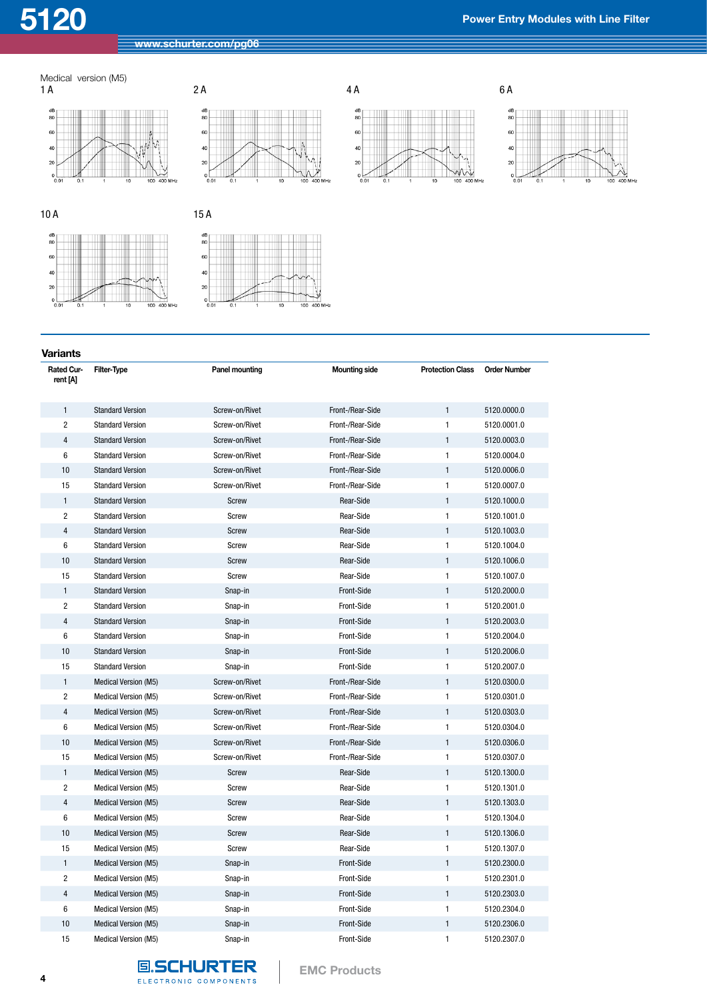









 $10A$ 

**Variants**



| 15A      |  |   |  |
|----------|--|---|--|
| dB<br>80 |  |   |  |
| 60       |  |   |  |
| 40       |  |   |  |
| 20       |  | × |  |

| Rated Cur-<br>rent [A] | Filter-Type                 | Panel mounting | <b>Mounting side</b> | <b>Protection Class</b> | <b>Order Number</b> |
|------------------------|-----------------------------|----------------|----------------------|-------------------------|---------------------|
| $\mathbf{1}$           | <b>Standard Version</b>     | Screw-on/Rivet | Front-/Rear-Side     | $\mathbf{1}$            | 5120.0000.0         |
| $\overline{2}$         | <b>Standard Version</b>     | Screw-on/Rivet | Front-/Rear-Side     | 1                       | 5120.0001.0         |
| $\overline{4}$         | <b>Standard Version</b>     | Screw-on/Rivet | Front-/Rear-Side     | $\mathbf{1}$            | 5120.0003.0         |
| 6                      | <b>Standard Version</b>     | Screw-on/Rivet | Front-/Rear-Side     | 1                       | 5120.0004.0         |
| 10                     | <b>Standard Version</b>     | Screw-on/Rivet | Front-/Rear-Side     | $\mathbf{1}$            | 5120.0006.0         |
| 15                     | <b>Standard Version</b>     | Screw-on/Rivet | Front-/Rear-Side     | 1                       | 5120.0007.0         |
| $\mathbf{1}$           | <b>Standard Version</b>     | <b>Screw</b>   | Rear-Side            | $\mathbf{1}$            | 5120.1000.0         |
| $\overline{c}$         | <b>Standard Version</b>     | Screw          | Rear-Side            | $\mathbf{1}$            | 5120.1001.0         |
| $\overline{4}$         | <b>Standard Version</b>     | Screw          | Rear-Side            | $\mathbf{1}$            | 5120.1003.0         |
| 6                      | <b>Standard Version</b>     | Screw          | Rear-Side            | 1                       | 5120.1004.0         |
| 10                     | <b>Standard Version</b>     | <b>Screw</b>   | Rear-Side            | $\mathbf{1}$            | 5120.1006.0         |
| 15                     | <b>Standard Version</b>     | Screw          | Rear-Side            | $\mathbf{1}$            | 5120.1007.0         |
| $\mathbf{1}$           | <b>Standard Version</b>     | Snap-in        | Front-Side           | $\mathbf{1}$            | 5120.2000.0         |
| $\overline{2}$         | <b>Standard Version</b>     | Snap-in        | Front-Side           | $\mathbf{1}$            | 5120.2001.0         |
| $\overline{4}$         | <b>Standard Version</b>     | Snap-in        | Front-Side           | 1                       | 5120.2003.0         |
| 6                      | <b>Standard Version</b>     | Snap-in        | Front-Side           | $\mathbf{1}$            | 5120.2004.0         |
| 10                     | <b>Standard Version</b>     | Snap-in        | Front-Side           | $\mathbf{1}$            | 5120.2006.0         |
| 15                     | <b>Standard Version</b>     | Snap-in        | Front-Side           | 1                       | 5120.2007.0         |
| $\mathbf{1}$           | <b>Medical Version (M5)</b> | Screw-on/Rivet | Front-/Rear-Side     | 1                       | 5120.0300.0         |
| $\overline{2}$         | Medical Version (M5)        | Screw-on/Rivet | Front-/Rear-Side     | 1                       | 5120.0301.0         |
| $\overline{4}$         | <b>Medical Version (M5)</b> | Screw-on/Rivet | Front-/Rear-Side     | $\mathbf{1}$            | 5120.0303.0         |
| 6                      | Medical Version (M5)        | Screw-on/Rivet | Front-/Rear-Side     | $\mathbf{1}$            | 5120.0304.0         |
| 10                     | Medical Version (M5)        | Screw-on/Rivet | Front-/Rear-Side     | $\mathbf{1}$            | 5120.0306.0         |
| 15                     | <b>Medical Version (M5)</b> | Screw-on/Rivet | Front-/Rear-Side     | 1                       | 5120.0307.0         |
| $\mathbf{1}$           | <b>Medical Version (M5)</b> | Screw          | Rear-Side            | $\mathbf{1}$            | 5120.1300.0         |
| $\overline{c}$         | Medical Version (M5)        | Screw          | Rear-Side            | $\mathbf{1}$            | 5120.1301.0         |
| 4                      | <b>Medical Version (M5)</b> | Screw          | Rear-Side            | $\mathbf{1}$            | 5120.1303.0         |
| 6                      | Medical Version (M5)        | Screw          | Rear-Side            | 1                       | 5120.1304.0         |
| 10                     | Medical Version (M5)        | Screw          | Rear-Side            | $\mathbf{1}$            | 5120.1306.0         |
| 15                     | Medical Version (M5)        | Screw          | Rear-Side            | 1                       | 5120.1307.0         |
| $\mathbf{1}$           | <b>Medical Version (M5)</b> | Snap-in        | Front-Side           | $\mathbf{1}$            | 5120.2300.0         |
| $\overline{2}$         | <b>Medical Version (M5)</b> | Snap-in        | Front-Side           | 1                       | 5120.2301.0         |
| $\overline{4}$         | Medical Version (M5)        | Snap-in        | Front-Side           | 1                       | 5120.2303.0         |
| 6                      | Medical Version (M5)        | Snap-in        | Front-Side           | $\mathbf{1}$            | 5120.2304.0         |
| 10                     | Medical Version (M5)        | Snap-in        | Front-Side           | 1                       | 5120.2306.0         |
| 15                     | Medical Version (M5)        | Snap-in        | Front-Side           | 1                       | 5120.2307.0         |

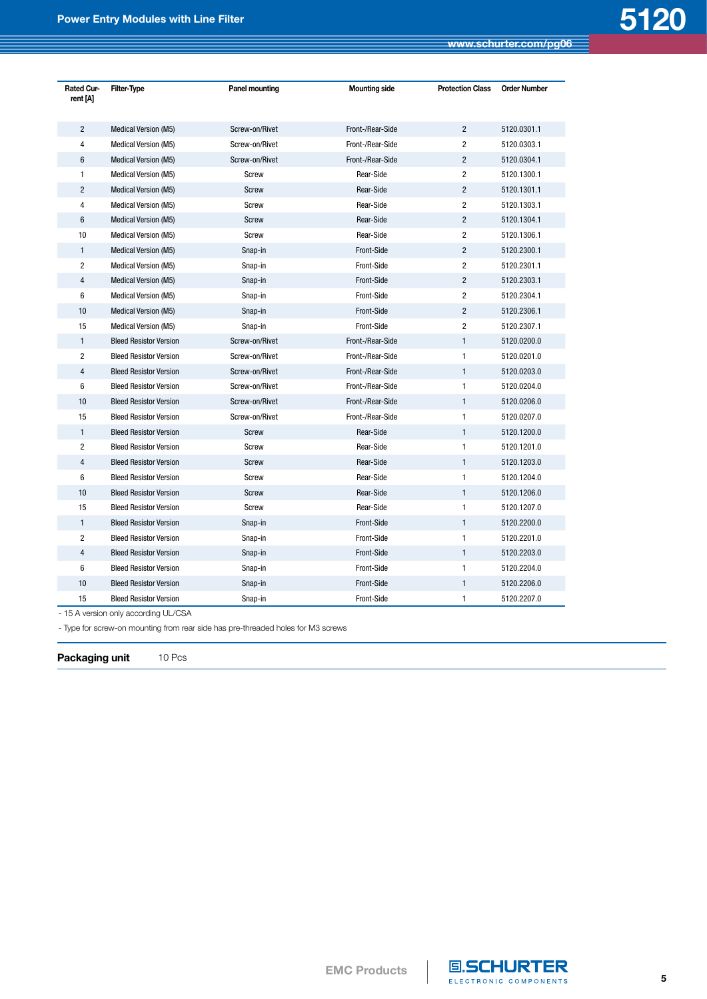| <b>Rated Cur-</b><br>rent [A] | <b>Filter-Type</b>            | Panel mounting | <b>Mounting side</b><br><b>Protection Class</b> |                | <b>Order Number</b> |
|-------------------------------|-------------------------------|----------------|-------------------------------------------------|----------------|---------------------|
| $\overline{2}$                | Medical Version (M5)          | Screw-on/Rivet | Front-/Rear-Side                                | $\overline{2}$ | 5120.0301.1         |
| 4                             | <b>Medical Version (M5)</b>   | Screw-on/Rivet | Front-/Rear-Side                                | $\overline{2}$ | 5120.0303.1         |
| $6\phantom{1}$                | Medical Version (M5)          | Screw-on/Rivet | Front-/Rear-Side                                | $\overline{2}$ | 5120.0304.1         |
| $\mathbf{1}$                  | <b>Medical Version (M5)</b>   | Screw          | Rear-Side                                       | $\overline{c}$ | 5120.1300.1         |
| $\overline{2}$                | Medical Version (M5)          | <b>Screw</b>   | Rear-Side                                       | $\overline{2}$ | 5120.1301.1         |
| 4                             | Medical Version (M5)          | Screw          | Rear-Side                                       | $\overline{c}$ | 5120.1303.1         |
| $6\phantom{1}$                | Medical Version (M5)          | Screw          | Rear-Side                                       | $\overline{2}$ | 5120.1304.1         |
| 10                            | <b>Medical Version (M5)</b>   | Screw          | Rear-Side                                       | $\overline{2}$ | 5120.1306.1         |
| $\mathbf{1}$                  | Medical Version (M5)          | Snap-in        | Front-Side                                      | $\overline{2}$ | 5120.2300.1         |
| $\overline{2}$                | Medical Version (M5)          | Snap-in        | Front-Side                                      | $\overline{c}$ | 5120.2301.1         |
| $\overline{4}$                | Medical Version (M5)          | Snap-in        | Front-Side                                      | $\overline{2}$ | 5120.2303.1         |
| 6                             | Medical Version (M5)          | Snap-in        | Front-Side                                      | $\overline{2}$ | 5120.2304.1         |
| 10                            | Medical Version (M5)          | Snap-in        | Front-Side                                      | $\overline{2}$ | 5120.2306.1         |
| 15                            | Medical Version (M5)          | Snap-in        | Front-Side                                      | $\overline{c}$ | 5120.2307.1         |
| $\mathbf{1}$                  | <b>Bleed Resistor Version</b> | Screw-on/Rivet | Front-/Rear-Side                                | $\mathbf{1}$   | 5120.0200.0         |
| $\overline{2}$                | <b>Bleed Resistor Version</b> | Screw-on/Rivet | Front-/Rear-Side                                | $\mathbf{1}$   | 5120.0201.0         |
| $\overline{4}$                | <b>Bleed Resistor Version</b> | Screw-on/Rivet | Front-/Rear-Side                                | $\mathbf{1}$   | 5120.0203.0         |
| $6\phantom{1}$                | <b>Bleed Resistor Version</b> | Screw-on/Rivet | Front-/Rear-Side                                | 1              | 5120.0204.0         |
| 10                            | <b>Bleed Resistor Version</b> | Screw-on/Rivet | Front-/Rear-Side                                | $\mathbf{1}$   | 5120.0206.0         |
| 15                            | <b>Bleed Resistor Version</b> | Screw-on/Rivet | Front-/Rear-Side                                | $\mathbf{1}$   | 5120.0207.0         |
| $\mathbf{1}$                  | <b>Bleed Resistor Version</b> | <b>Screw</b>   | Rear-Side                                       | $\mathbf{1}$   | 5120.1200.0         |
| $\overline{2}$                | <b>Bleed Resistor Version</b> | Screw          | Rear-Side                                       | $\mathbf{1}$   | 5120.1201.0         |
| $\overline{4}$                | <b>Bleed Resistor Version</b> | Screw          | Rear-Side                                       | $\mathbf{1}$   | 5120.1203.0         |
| $6\phantom{1}$                | <b>Bleed Resistor Version</b> | Screw          | Rear-Side                                       | 1              | 5120.1204.0         |
| 10                            | <b>Bleed Resistor Version</b> | Screw          | Rear-Side                                       | $\mathbf{1}$   | 5120.1206.0         |
| 15                            | <b>Bleed Resistor Version</b> | Screw          | Rear-Side                                       | 1              | 5120.1207.0         |
| $\mathbf{1}$                  | <b>Bleed Resistor Version</b> | Snap-in        | Front-Side                                      | $\mathbf{1}$   | 5120.2200.0         |
| $\overline{2}$                | <b>Bleed Resistor Version</b> | Snap-in        | Front-Side                                      | 1              | 5120.2201.0         |
| 4                             | <b>Bleed Resistor Version</b> | Snap-in        | Front-Side                                      | $\mathbf{1}$   | 5120.2203.0         |
| 6                             | <b>Bleed Resistor Version</b> | Snap-in        | Front-Side                                      | 1              | 5120.2204.0         |
| 10                            | <b>Bleed Resistor Version</b> | Snap-in        | Front-Side                                      | $\mathbf{1}$   | 5120.2206.0         |
| 15                            | <b>Bleed Resistor Version</b> | Snap-in        | Front-Side                                      | 1              | 5120.2207.0         |

- 15 A version only according UL/CSA

- Type for screw-on mounting from rear side has pre-threaded holes for M3 screws

Packaging unit 10 Pcs